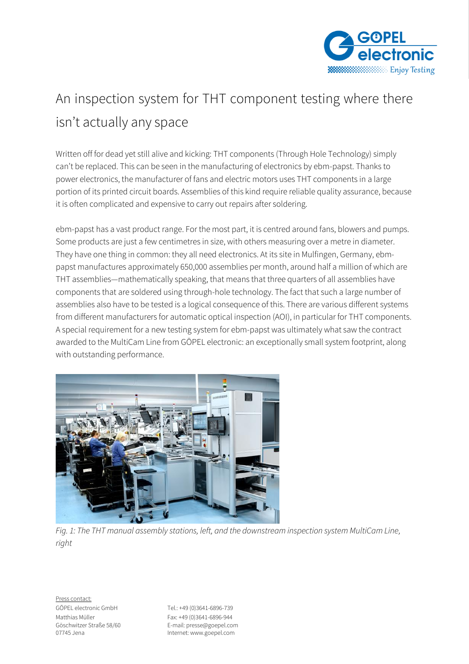

## An inspection system for THT component testing where there isn't actually any space

Written off for dead yet still alive and kicking: THT components (Through Hole Technology) simply can't be replaced. This can be seen in the manufacturing of electronics by ebm-papst. Thanks to power electronics, the manufacturer of fans and electric motors uses THT components in a large portion of its printed circuit boards. Assemblies of this kind require reliable quality assurance, because it is often complicated and expensive to carry out repairs after soldering.

ebm-papst has a vast product range. For the most part, it is centred around fans, blowers and pumps. Some products are just a few centimetres in size, with others measuring over a metre in diameter. They have one thing in common: they all need electronics. At its site in Mulfingen, Germany, ebmpapst manufactures approximately 650,000 assemblies per month, around half a million of which are THT assemblies—mathematically speaking, that means that three quarters of all assemblies have components that are soldered using through-hole technology. The fact that such a large number of assemblies also have to be tested is a logical consequence of this. There are various different systems from different manufacturers for automatic optical inspection (AOI), in particular for THT components. A special requirement for a new testing system for ebm-papst was ultimately what saw the contract awarded to the MultiCam Line from GÖPEL electronic: an exceptionally small system footprint, along with outstanding performance.



*Fig. 1: The THT manual assembly stations, left, and the downstream inspection system MultiCam Line, right* 

Göschwitzer Straße 58/60 E-mail: presse@goepel.com Internet: www.goepel.com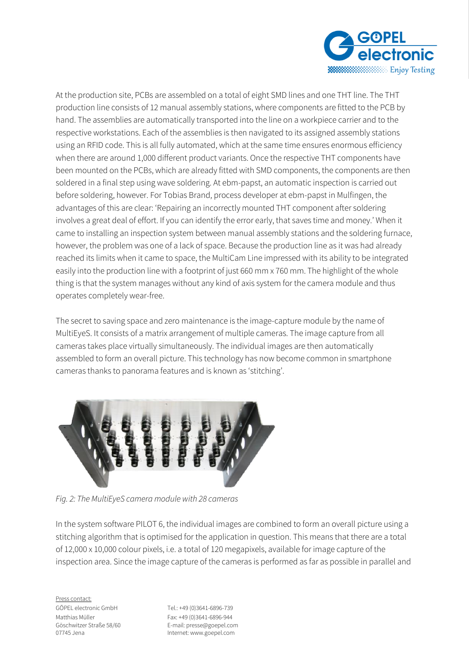

At the production site, PCBs are assembled on a total of eight SMD lines and one THT line. The THT production line consists of 12 manual assembly stations, where components are fitted to the PCB by hand. The assemblies are automatically transported into the line on a workpiece carrier and to the respective workstations. Each of the assemblies is then navigated to its assigned assembly stations using an RFID code. This is all fully automated, which at the same time ensures enormous efficiency when there are around 1,000 different product variants. Once the respective THT components have been mounted on the PCBs, which are already fitted with SMD components, the components are then soldered in a final step using wave soldering. At ebm-papst, an automatic inspection is carried out before soldering, however. For Tobias Brand, process developer at ebm-papst in Mulfingen, the advantages of this are clear: 'Repairing an incorrectly mounted THT component after soldering involves a great deal of effort. If you can identify the error early, that saves time and money.' When it came to installing an inspection system between manual assembly stations and the soldering furnace, however, the problem was one of a lack of space. Because the production line as it was had already reached its limits when it came to space, the MultiCam Line impressed with its ability to be integrated easily into the production line with a footprint of just 660 mm x 760 mm. The highlight of the whole thing is that the system manages without any kind of axis system for the camera module and thus operates completely wear-free.

The secret to saving space and zero maintenance is the image-capture module by the name of MultiEyeS. It consists of a matrix arrangement of multiple cameras. The image capture from all cameras takes place virtually simultaneously. The individual images are then automatically assembled to form an overall picture. This technology has now become common in smartphone cameras thanks to panorama features and is known as 'stitching'.



*Fig. 2: The MultiEyeS camera module with 28 cameras*

In the system software PILOT 6, the individual images are combined to form an overall picture using a stitching algorithm that is optimised for the application in question. This means that there are a total of 12,000 x 10,000 colour pixels, i.e. a total of 120 megapixels, available for image capture of the inspection area. Since the image capture of the cameras is performed as far as possible in parallel and

Press contact:

GÖPEL electronic GmbH Tel.: +49 (0)3641-6896-739 Matthias Müller Fax: +49 (0)3641-6896-944 Göschwitzer Straße 58/60 E-mail: presse@goepel.com Internet: www.goepel.com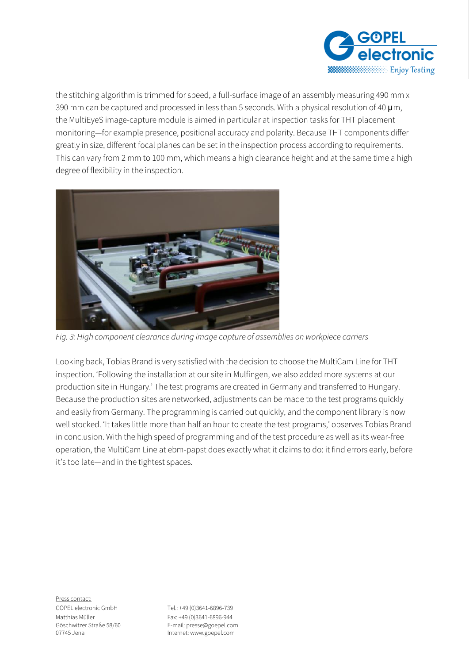

the stitching algorithm is trimmed for speed, a full-surface image of an assembly measuring 490 mm x 390 mm can be captured and processed in less than 5 seconds. With a physical resolution of 40  $\mu$ m, the MultiEyeS image-capture module is aimed in particular at inspection tasks for THT placement monitoring—for example presence, positional accuracy and polarity. Because THT components differ greatly in size, different focal planes can be set in the inspection process according to requirements. This can vary from 2 mm to 100 mm, which means a high clearance height and at the same time a high degree of flexibility in the inspection.



*Fig. 3: High component clearance during image capture of assemblies on workpiece carriers* 

Looking back, Tobias Brand is very satisfied with the decision to choose the MultiCam Line for THT inspection. 'Following the installation at our site in Mulfingen, we also added more systems at our production site in Hungary.' The test programs are created in Germany and transferred to Hungary. Because the production sites are networked, adjustments can be made to the test programs quickly and easily from Germany. The programming is carried out quickly, and the component library is now well stocked. 'It takes little more than half an hour to create the test programs,' observes Tobias Brand in conclusion. With the high speed of programming and of the test procedure as well as its wear-free operation, the MultiCam Line at ebm-papst does exactly what it claims to do: it find errors early, before it's too late—and in the tightest spaces.

Press contact:

GÖPEL electronic GmbH Tel.: +49 (0)3641-6896-739 Matthias Müller Fax: +49 (0)3641-6896-944 Göschwitzer Straße 58/60 E-mail: presse@goepel.com Internet: www.goepel.com